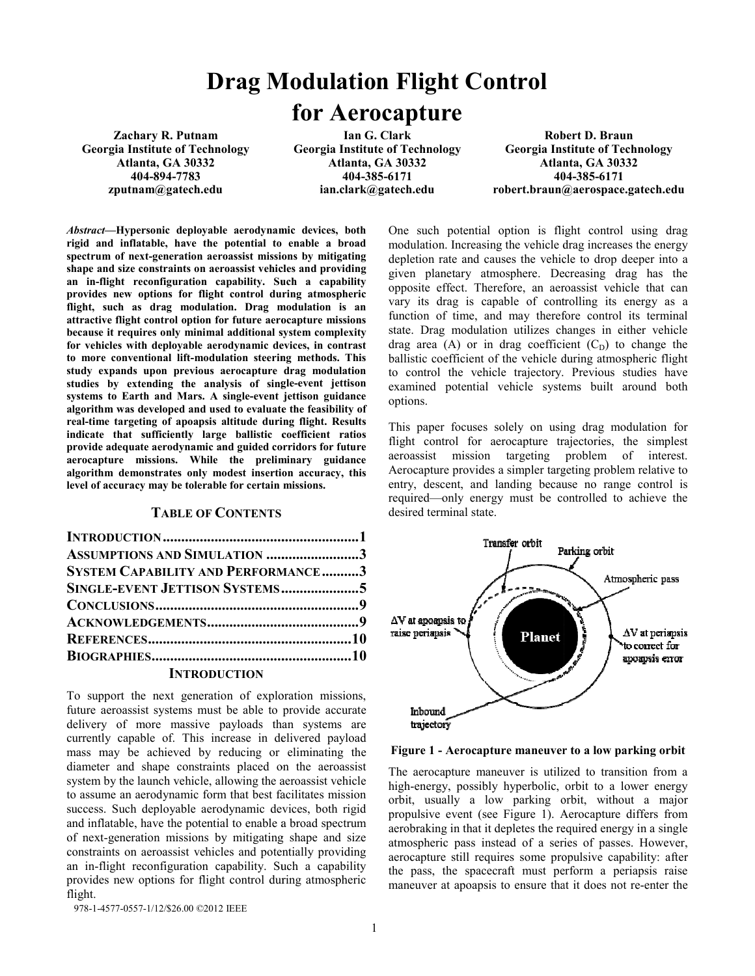# **Drag M Modulation Flight Control for Aerocapture**

**Zachary R. Putnam Georgia Institute of Technology Atlanta, GA 30332 404-894-7783 zputnam@gatech.edu** 

**Ian G. Clark Georgia Institute of Technology Atlanta, GA 30332 404-385-6171 ian.clark@gatech.edu** 

**Rob bert D. Braun Georgia Ins stitute of Technology Atlan nta, GA 30332 40 04-385-6171 robert.braun@ @aerospace.gatech.edu** 

*Abstract***—Hypersonic deployable aerodynam mic devices, both**  rigid and inflatable, have the potential to enable a broad spectrum of next-generation aeroassist missions by mitigating shape and size constraints on aeroassist vehicles and providing **an in-flight reconfiguration capability. Su uch a capability provides new options for flight control du ring atmospheric flight, such as drag modulation. Drag m modulation is an**  attractive flight control option for future aerocapture missions **because it requires only minimal additional s system complexity** for vehicles with deployable aerodynamic devices, in contrast to more conventional lift-modulation steering methods. This **study expands upon previous aerocapture drag modulation**  studies by extending the analysis of single-event jettison **systems to Earth and Mars. A single-event jettison guidance**  algorithm was developed and used to evaluate the feasibility of **real-time targeting of apoapsis altitude duri ing flight. Results indicate that sufficiently large ballistic c coefficient ratios provide adequate aerodynamic and guided co orridors for future aerocapture missions. While the prelim minary guidance algorithm demonstrates only modest inserti on accuracy, this level of accuracy may be tolerable for certain missions.** 

## **TABLE OF CONTENTS**

| ASSUMPTIONS AND SIMULATION 3                                                                                  |  |
|---------------------------------------------------------------------------------------------------------------|--|
| <b>SYSTEM CAPABILITY AND PERFORMANCE3</b>                                                                     |  |
|                                                                                                               |  |
|                                                                                                               |  |
|                                                                                                               |  |
|                                                                                                               |  |
|                                                                                                               |  |
| 1000 - 1000 - 1000 - 1000 - 1000 - 1000 - 1000 - 1000 - 1000 - 1000 - 1000 - 1000 - 1000 - 1000 - 1000 - 1000 |  |

## **INTRODUCTION**

To support the next generation of exploration missions, future aeroassist systems must be able to provide accurate delivery of more massive payloads th an systems are currently capable of. This increase in delivered payload mass may be achieved by reducing or eliminating the diameter and shape constraints placed on the aeroassist system by the launch vehicle, allowing the a aeroassist vehicle to assume an aerodynamic form that best fa acilitates mission success. Such deployable aerodynamic de vices, both rigid and inflatable, have the potential to enable a a broad spectrum of next-generation missions by mitigating shape and size constraints on aeroassist vehicles and pote ntially providing an in-flight reconfiguration capability. Such a capability provides new options for flight control during atmospheric flight.

One such potential option is flight control using drag modulation. Increasing the vehicle d drag increases the energy depletion rate and causes the vehicle to drop deeper into a given planetary atmosphere. De ecreasing drag has the opposite effect. Therefore, an aeroassist vehicle that can vary its drag is capable of controlling its energy as a function of time, and may therefore control its terminal state. Drag modulation utilizes changes in either vehicle drag area  $(A)$  or in drag coefficient  $(C_D)$  to change the ballistic coefficient of the vehicle d during atmospheric flight to control the vehicle trajectory. Previous studies have examined potential vehicle systems built around both options.

This paper focuses solely on using drag modulation for flight control for aerocapture trajectories, the simplest aeroassist mission targeting problem of interest. Aerocapture provides a simpler targeting problem relative to entry, descent, and landing because no range control is required—only energy must be controlled to achieve the desired terminal state.



Figure 1 - Aerocapture maneuver to a low parking orbit

The aerocapture maneuver is utilized to transition from a high-energy, possibly hyperbolic, orbit to a lower energy orbit, usually a low parking orbit, without a major propulsive event (see Figure 1). A Aerocapture differs from aerobraking in that it depletes the required energy in a single atmospheric pass instead of a ser ies of passes. However, aerocapture still requires some propulsive capability: after the pass, the spacecraft must perform a periapsis raise maneuver at apoapsis to ensure that it does not re-enter the

978-1-4577-0557-1/12/\$26.00 ©2012 IEEE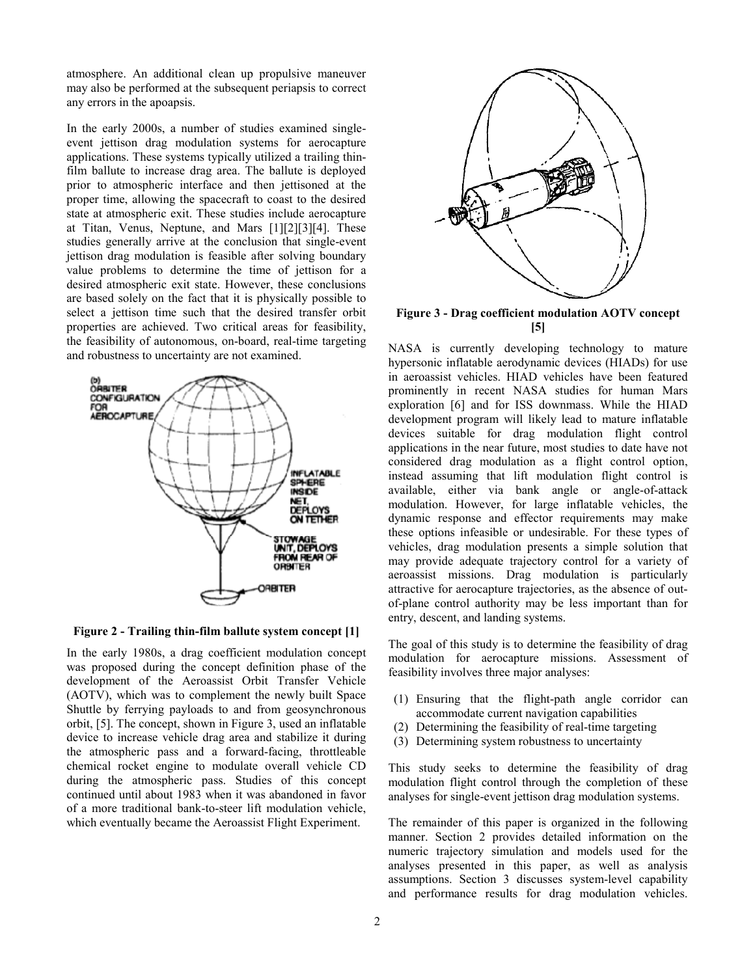atmosphere. An additional clean up propulsive maneuver may also be performed at the subsequent periapsis to correct any errors in the apoapsis.

In the early 2000s, a number of studies examined singleevent jettison drag modulation systems for aerocapture applications. These systems typically utilized a trailing thinfilm ballute to increase drag area. The ballute is deployed prior to atmospheric interface and then jettisoned at the proper time, allowing the spacecraft to coast to the desired state at atmospheric exit. These studies include aerocapture at Titan, Venus, Neptune, and Mars [1][2][3][4]. These studies generally arrive at the conclusion that single-event jettison drag modulation is feasible after solving boundary value problems to determine the time of jettison for a desired atmospheric exit state. However, these conclusions are based solely on the fact that it is physically possible to select a jettison time such that the desired transfer orbit properties are achieved. Two critical areas for feasibility, the feasibility of autonomous, on-board, real-time targeting and robustness to uncertainty are not examined.



**Figure 2 - Trailing thin-film ballute system concept [1]** 

In the early 1980s, a drag coefficient modulation concept was proposed during the concept definition phase of the development of the Aeroassist Orbit Transfer Vehicle (AOTV), which was to complement the newly built Space Shuttle by ferrying payloads to and from geosynchronous orbit, [5]. The concept, shown in Figure 3, used an inflatable device to increase vehicle drag area and stabilize it during the atmospheric pass and a forward-facing, throttleable chemical rocket engine to modulate overall vehicle CD during the atmospheric pass. Studies of this concept continued until about 1983 when it was abandoned in favor of a more traditional bank-to-steer lift modulation vehicle, which eventually became the Aeroassist Flight Experiment.



**Figure 3 - Drag coefficient modulation AOTV concept [5]** 

NASA is currently developing technology to mature hypersonic inflatable aerodynamic devices (HIADs) for use in aeroassist vehicles. HIAD vehicles have been featured prominently in recent NASA studies for human Mars exploration [6] and for ISS downmass. While the HIAD development program will likely lead to mature inflatable devices suitable for drag modulation flight control applications in the near future, most studies to date have not considered drag modulation as a flight control option, instead assuming that lift modulation flight control is available, either via bank angle or angle-of-attack modulation. However, for large inflatable vehicles, the dynamic response and effector requirements may make these options infeasible or undesirable. For these types of vehicles, drag modulation presents a simple solution that may provide adequate trajectory control for a variety of aeroassist missions. Drag modulation is particularly attractive for aerocapture trajectories, as the absence of outof-plane control authority may be less important than for entry, descent, and landing systems.

The goal of this study is to determine the feasibility of drag modulation for aerocapture missions. Assessment of feasibility involves three major analyses:

- (1) Ensuring that the flight-path angle corridor can accommodate current navigation capabilities
- (2) Determining the feasibility of real-time targeting
- (3) Determining system robustness to uncertainty

This study seeks to determine the feasibility of drag modulation flight control through the completion of these analyses for single-event jettison drag modulation systems.

The remainder of this paper is organized in the following manner. Section 2 provides detailed information on the numeric trajectory simulation and models used for the analyses presented in this paper, as well as analysis assumptions. Section 3 discusses system-level capability and performance results for drag modulation vehicles.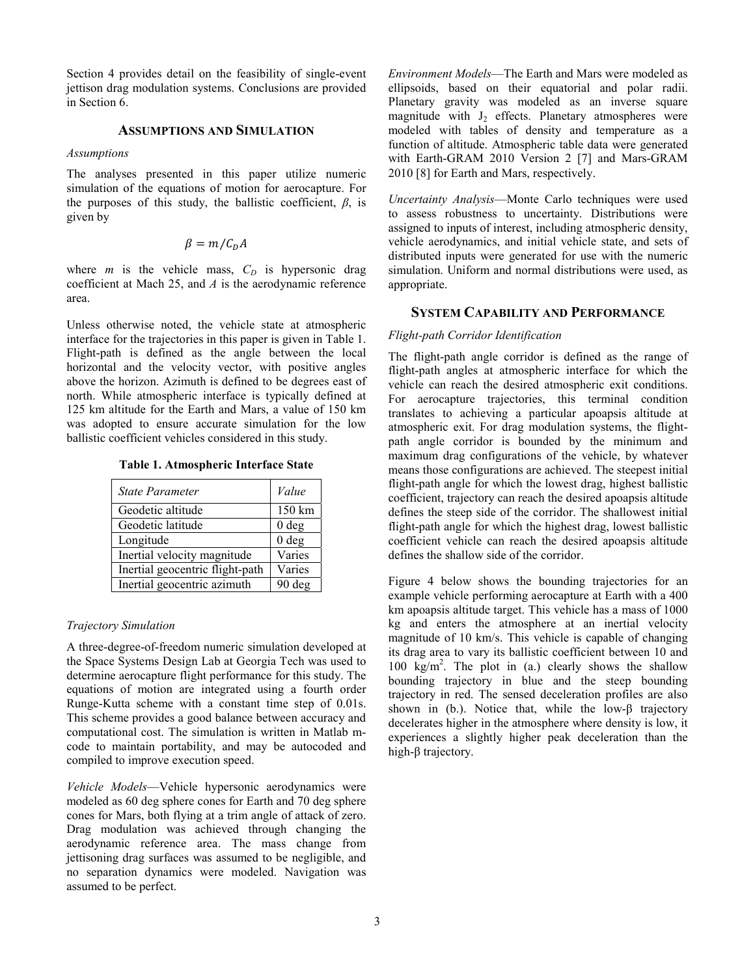Section 4 provides detail on the feasibility of single-event jettison drag modulation systems. Conclusions are provided in Section 6.

## **ASSUMPTIONS AND SIMULATION**

#### *Assumptions*

The analyses presented in this paper utilize numeric simulation of the equations of motion for aerocapture. For the purposes of this study, the ballistic coefficient, *β*, is given by

$$
\beta = m/C_D A
$$

where *m* is the vehicle mass,  $C_D$  is hypersonic drag coefficient at Mach 25, and *A* is the aerodynamic reference area.

Unless otherwise noted, the vehicle state at atmospheric interface for the trajectories in this paper is given in Table 1. Flight-path is defined as the angle between the local horizontal and the velocity vector, with positive angles above the horizon. Azimuth is defined to be degrees east of north. While atmospheric interface is typically defined at 125 km altitude for the Earth and Mars, a value of 150 km was adopted to ensure accurate simulation for the low ballistic coefficient vehicles considered in this study.

**Table 1. Atmospheric Interface State** 

| State Parameter                 | Value            |
|---------------------------------|------------------|
| Geodetic altitude               | 150 km           |
| Geodetic latitude               | 0 <sub>deg</sub> |
| Longitude                       | 0 <sub>deg</sub> |
| Inertial velocity magnitude     | Varies           |
| Inertial geocentric flight-path | Varies           |
| Inertial geocentric azimuth     | 90 deg           |

## *Trajectory Simulation*

A three-degree-of-freedom numeric simulation developed at the Space Systems Design Lab at Georgia Tech was used to determine aerocapture flight performance for this study. The equations of motion are integrated using a fourth order Runge-Kutta scheme with a constant time step of 0.01s. This scheme provides a good balance between accuracy and computational cost. The simulation is written in Matlab mcode to maintain portability, and may be autocoded and compiled to improve execution speed.

*Vehicle Models*—Vehicle hypersonic aerodynamics were modeled as 60 deg sphere cones for Earth and 70 deg sphere cones for Mars, both flying at a trim angle of attack of zero. Drag modulation was achieved through changing the aerodynamic reference area. The mass change from jettisoning drag surfaces was assumed to be negligible, and no separation dynamics were modeled. Navigation was assumed to be perfect.

*Environment Models*—The Earth and Mars were modeled as ellipsoids, based on their equatorial and polar radii. Planetary gravity was modeled as an inverse square magnitude with  $J_2$  effects. Planetary atmospheres were modeled with tables of density and temperature as a function of altitude. Atmospheric table data were generated with Earth-GRAM 2010 Version 2 [7] and Mars-GRAM 2010 [8] for Earth and Mars, respectively.

*Uncertainty Analysis*—Monte Carlo techniques were used to assess robustness to uncertainty. Distributions were assigned to inputs of interest, including atmospheric density, vehicle aerodynamics, and initial vehicle state, and sets of distributed inputs were generated for use with the numeric simulation. Uniform and normal distributions were used, as appropriate.

## **SYSTEM CAPABILITY AND PERFORMANCE**

#### *Flight-path Corridor Identification*

The flight-path angle corridor is defined as the range of flight-path angles at atmospheric interface for which the vehicle can reach the desired atmospheric exit conditions. For aerocapture trajectories, this terminal condition translates to achieving a particular apoapsis altitude at atmospheric exit. For drag modulation systems, the flightpath angle corridor is bounded by the minimum and maximum drag configurations of the vehicle, by whatever means those configurations are achieved. The steepest initial flight-path angle for which the lowest drag, highest ballistic coefficient, trajectory can reach the desired apoapsis altitude defines the steep side of the corridor. The shallowest initial flight-path angle for which the highest drag, lowest ballistic coefficient vehicle can reach the desired apoapsis altitude defines the shallow side of the corridor.

Figure 4 below shows the bounding trajectories for an example vehicle performing aerocapture at Earth with a 400 km apoapsis altitude target. This vehicle has a mass of 1000 kg and enters the atmosphere at an inertial velocity magnitude of 10 km/s. This vehicle is capable of changing its drag area to vary its ballistic coefficient between 10 and 100  $\text{kg/m}^2$ . The plot in (a.) clearly shows the shallow bounding trajectory in blue and the steep bounding trajectory in red. The sensed deceleration profiles are also shown in (b.). Notice that, while the low-β trajectory decelerates higher in the atmosphere where density is low, it experiences a slightly higher peak deceleration than the high-β trajectory.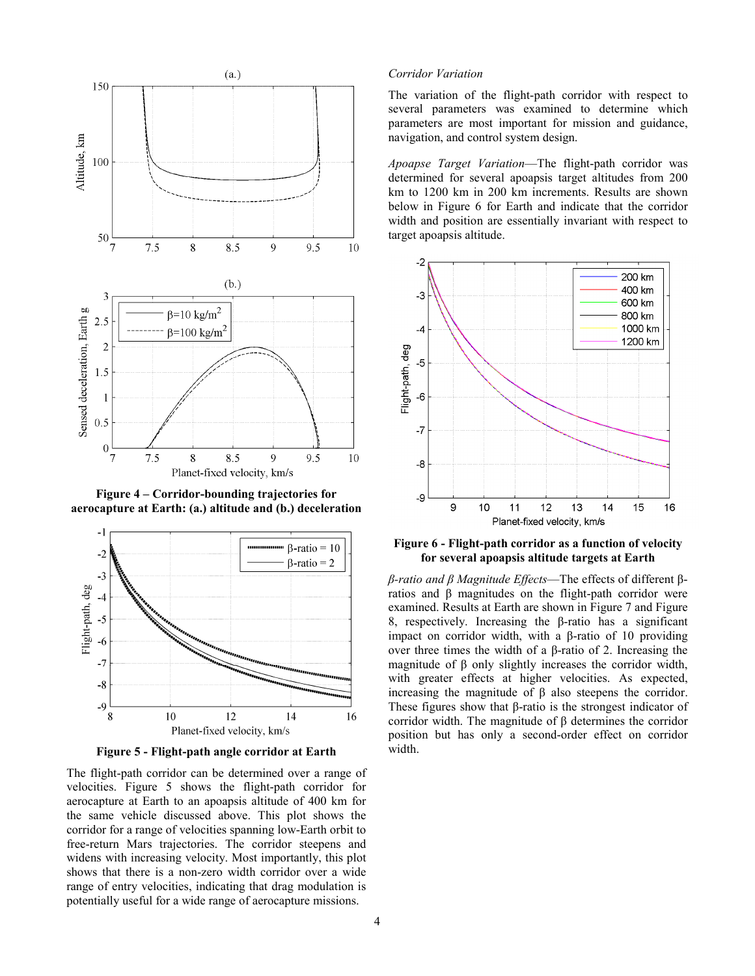

**Figure 4 – Corridor-bounding trajectories for aerocapture at Earth: (a.) altitude and (b.) deceleration** 



**Figure 5 - Flight-path angle corridor at Earth** 

The flight-path corridor can be determined over a range of velocities. Figure 5 shows the flight-path corridor for aerocapture at Earth to an apoapsis altitude of 400 km for the same vehicle discussed above. This plot shows the corridor for a range of velocities spanning low-Earth orbit to free-return Mars trajectories. The corridor steepens and widens with increasing velocity. Most importantly, this plot shows that there is a non-zero width corridor over a wide range of entry velocities, indicating that drag modulation is potentially useful for a wide range of aerocapture missions.

## *Corridor Variation*

The variation of the flight-path corridor with respect to several parameters was examined to determine which parameters are most important for mission and guidance, navigation, and control system design.

*Apoapse Target Variation*—The flight-path corridor was determined for several apoapsis target altitudes from 200 km to 1200 km in 200 km increments. Results are shown below in Figure 6 for Earth and indicate that the corridor width and position are essentially invariant with respect to target apoapsis altitude.



#### **Figure 6 - Flight-path corridor as a function of velocity for several apoapsis altitude targets at Earth**

*β-ratio and β Magnitude Effects*—The effects of different βratios and β magnitudes on the flight-path corridor were examined. Results at Earth are shown in Figure 7 and Figure 8, respectively. Increasing the β-ratio has a significant impact on corridor width, with a β-ratio of 10 providing over three times the width of a β-ratio of 2. Increasing the magnitude of β only slightly increases the corridor width, with greater effects at higher velocities. As expected, increasing the magnitude of β also steepens the corridor. These figures show that β-ratio is the strongest indicator of corridor width. The magnitude of β determines the corridor position but has only a second-order effect on corridor width.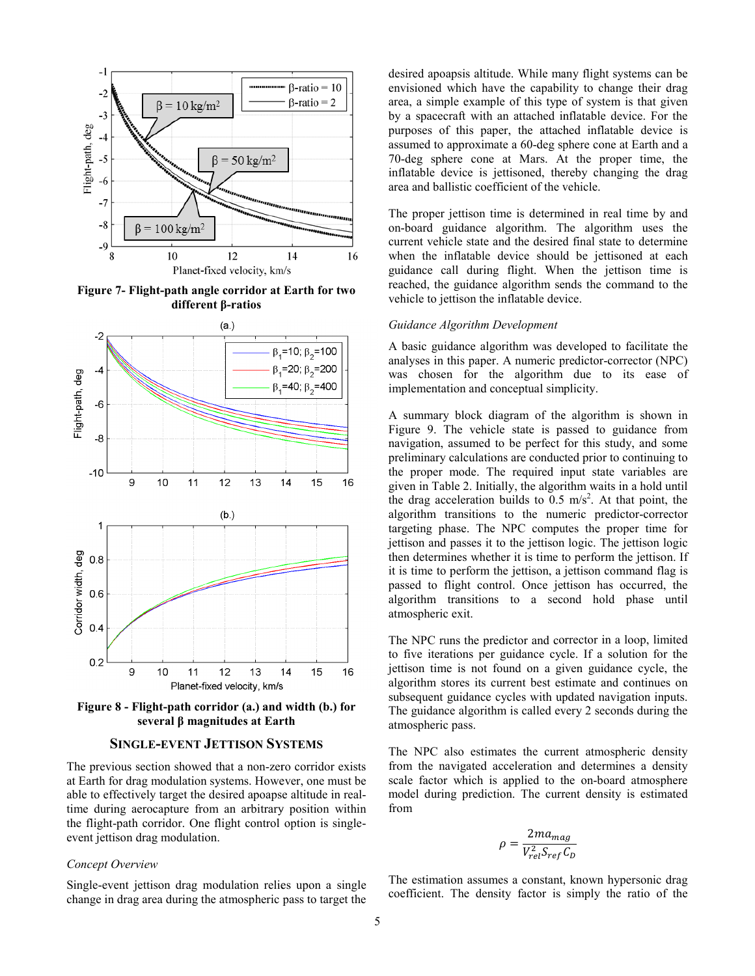

**Figure 7- Flight-path angle corridor at Earth for two different β-ratios** 



Figure 8 - Flight-path corridor (a.) and width (b.) for **several β** magnitudes at Earth

# **SINGLE-EVENT JETTISON SY YSTEMS**

The previous section showed that a non-zero corridor exists at Earth for drag modulation systems. However, one must be able to effectively target the desired apoaps e altitude in realtime during aerocapture from an arbitrary position within the flight-path corridor. One flight control option is singleevent jettison drag modulation.

#### *Concept Overview*

Single-event jettison drag modulation relies upon a single change in drag area during the atmospheric pass to target the desired apoapsis altitude. While many flight systems can be envisioned which have the capability to change their drag area, a simple example of this type of system is that given by a spacecraft with an attached inflatable device. For the purposes of this paper, the attached inflatable device is assumed to approximate a 60-deg sphere cone at Earth and a 70-deg sphere cone at Mars. A At the proper time, the inflatable device is jettisoned, the ereby changing the drag area and ballistic coefficient of the vehicle.

The proper jettison time is determined in real time by and on-board guidance algorithm. T he algorithm uses the current vehicle state and the desired final state to determine when the inflatable device should be jettisoned at each guidance call during flight. When the jettison time is reached, the guidance algorithm sends the command to the vehicle to jettison the inflatable device.

#### *Guidance Algorithm Development*

A basic guidance algorithm was developed to facilitate the analyses in this paper. A numeric predictor-corrector (NPC) was chosen for the algorithm due to its ease of implementation and conceptual simplicity.

A summary block diagram of the e algorithm is shown in Figure 9. The vehicle state is passed to guidance from navigation, assumed to be perfect for this study, and some preliminary calculations are conducted prior to continuing to the proper mode. The required input state variables are given in Table 2. Initially, the algorithm waits in a hold until the drag acceleration builds to  $0.5 \text{ m/s}^2$ . At that point, the algorithm transitions to the num meric predictor-corrector targeting phase. The NPC computes the proper time for jettison and passes it to the jettison logic. The jettison logic then determines whether it is time to perform the jettison. If it is time to perform the jettison, a jettison command flag is passed to flight control. Once jettison has occurred, the algorithm transitions to a second hold phase until atmospheric exit.

The NPC runs the predictor and corrector in a loop, limited to five iterations per guidance cycle. If a solution for the jettison time is not found on a given guidance cycle, the algorithm stores its current best es stimate and continues on subsequent guidance cycles with updated navigation inputs. The guidance algorithm is called every 2 seconds during the atmospheric pass.

The NPC also estimates the current atmospheric density from the navigated acceleration and determines a density scale factor which is applied to the on-board atmosphere model during prediction. The current density is estimated from

$$
\rho = \frac{2ma_{mag}}{V_{rel}^2 S_{ref} C_D}
$$

The estimation assumes a constant, known hypersonic drag coefficient. The density factor is simply the ratio of the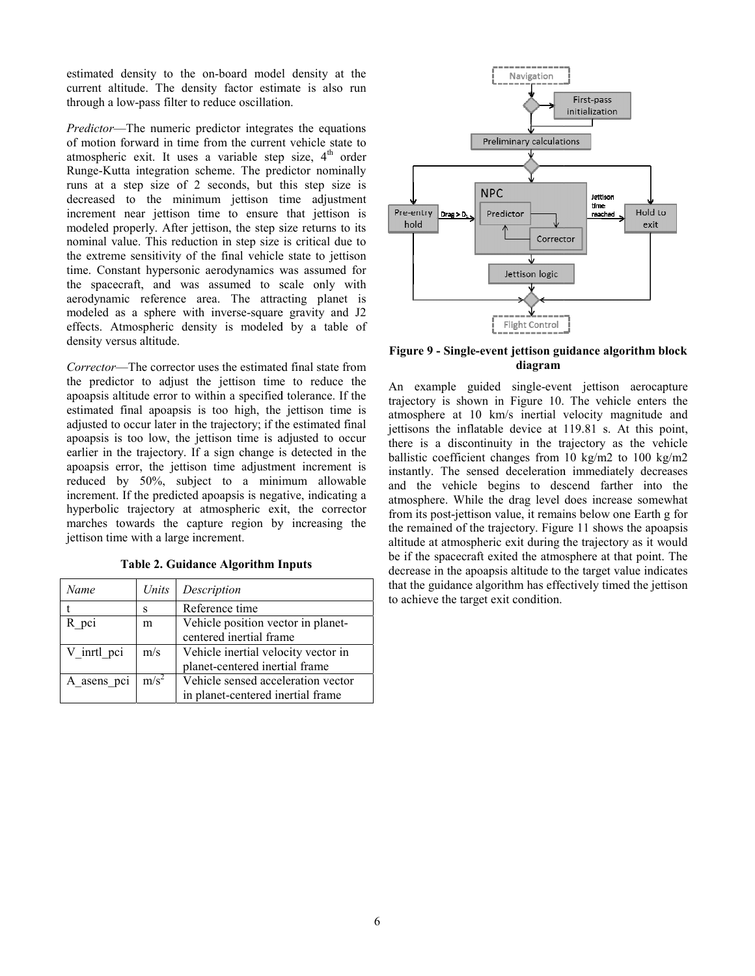estimated density to the on-board mode l density at the current altitude. The density factor estimate is also run through a low-pass filter to reduce oscillation.

*Predictor*—The numeric predictor integrates the equations of motion forward in time from the current vehicle state to atmospheric exit. It uses a variable step size, 4<sup>th</sup> order Runge-Kutta integration scheme. The pre dictor nominally runs at a step size of 2 seconds, but this step size is decreased to the minimum jettison time adjustment increment near jettison time to ensure that jettison is modeled properly. After jettison, the step s size returns to its nominal value. This reduction in step size is critical due to the extreme sensitivity of the final vehicle state to jettison time. Constant hypersonic aerodynamics was assumed for the spacecraft, and was assumed to scale only with aerodynamic reference area. The attracting planet is modeled as a sphere with inverse-square gravity and J2 effects. Atmospheric density is modeled by a table of density versus altitude.

Corrector—The corrector uses the estimated final state from the predictor to adjust the jettison time to reduce the apoapsis altitude error to within a specified d tolerance. If the estimated final apoapsis is too high, the jettison time is adjusted to occur later in the trajectory; if th he estimated final apoapsis is too low, the jettison time is a adjusted to occur earlier in the trajectory. If a sign change i s detected in the apoapsis error, the jettison time adjustment increment is reduced by 50%, subject to a mini mum allowable increment. If the predicted apoapsis is negative, indicating a hyperbolic trajectory at atmospheric exit, the corrector marches towards the capture region by increasing the jettison time with a large increment.

**Table 2. Guidance Algorithm I Inputs** 

| Name        | Units   | Description                         |  |
|-------------|---------|-------------------------------------|--|
|             | S       | Reference time                      |  |
| R pci       | m       | Vehicle position vector in planet-  |  |
|             |         | centered inertial frame             |  |
| V inrtl pci | m/s     | Vehicle inertial velocity vector in |  |
|             |         | planet-centered inertial frame      |  |
| A asens pci | $m/s^2$ | Vehicle sensed acceleration vector  |  |
|             |         | in planet-centered inertial frame   |  |



**Figure 9 - Single-event jettison gu uidance algorithm block diagram** 

An example guided single-event jettison aerocapture trajectory is shown in Figure 10. The vehicle enters the atmosphere at 10 km/s inertial velocity magnitude and jettisons the inflatable device at 119.81 s. At this point, there is a discontinuity in the trajectory as the vehicle ballistic coefficient changes from 10 kg/m2 to 100 kg/m2 instantly. The sensed deceleration immediately decreases and the vehicle begins to descend farther into the atmosphere. While the drag level does increase somewhat from its post-jettison value, it remains below one Earth g for the remained of the trajectory. Figure 11 shows the apoapsis altitude at atmospheric exit during the trajectory as it would be if the spacecraft exited the atmosphere at that point. The decrease in the apoapsis altitude to the target value indicates that the guidance algorithm has effe ectively timed the jettison to achieve the target exit condition.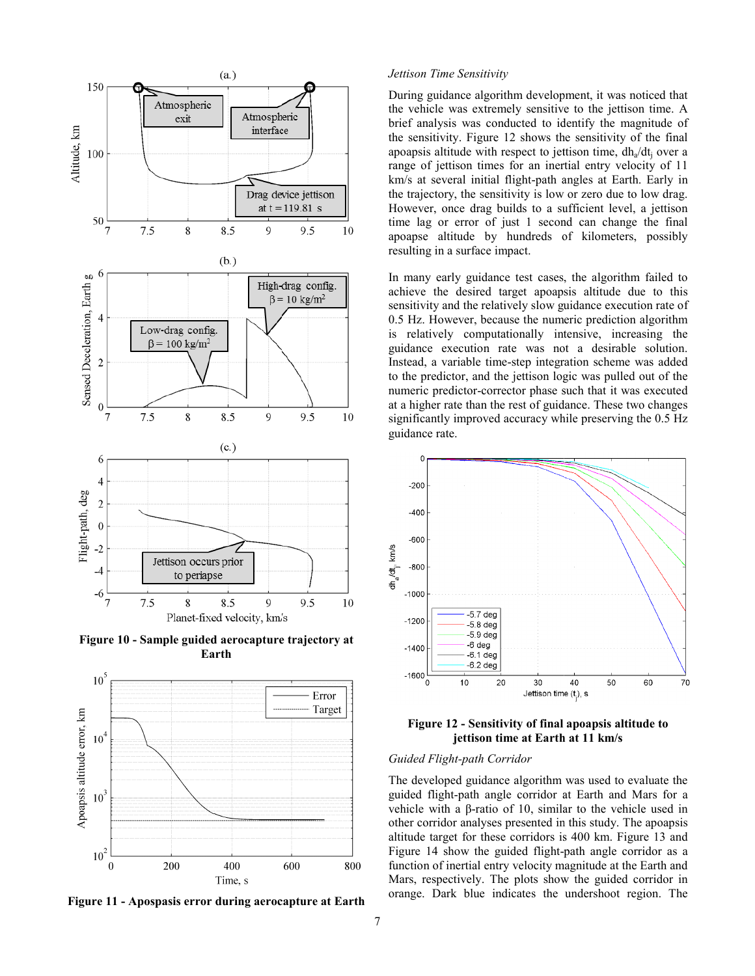

Figure 10 - Sample guided aerocapture trajectory at **Earth** 



Figure 11 - Apospasis error during aerocapture at Earth

#### *Jettison Time Sensitivity*

During guidance algorithm develop pment, it was noticed that the vehicle was extremely sensitiv e to the jettison time. A brief analysis was conducted to id dentify the magnitude of the sensitivity. Figure 12 shows th he sensitivity of the final apoapsis altitude with respect to jettison time,  $dh_a/dt_j$  over a range of jettison times for an inertial entry velocity of 11 km/s at several initial flight-path a angles at Earth. Early in the trajectory, the sensitivity is low or zero due to low drag. However, once drag builds to a sufficient level, a jettison time lag or error of just 1 second can change the final apoapse altitude by hundreds of kilometers, possibly resulting in a surface impact.

In many early guidance test cases , the algorithm failed to achieve the desired target apoap sis altitude due to this sensitivity and the relatively slow guidance execution rate of 0.5 Hz. However, because the numeric prediction algorithm is relatively computationally intensive, increasing the guidance execution rate was not a desirable solution. Instead, a variable time-step integration scheme was added to the predictor, and the jettison log gic was pulled out of the numeric predictor-corrector phase s such that it was executed at a higher rate than the rest of guid dance. These two changes significantly improved accuracy while preserving the 0.5 Hz guidance rate.



**Figure 12 - Sensitivity of final apoapsis altitude to jettison time at Earth h at 11 km/s** 

## *Guided Flight-path Corridor*

The developed guidance algorithm was used to evaluate the guided flight-path angle corridor at Earth and Mars for a vehicle with a  $β$ -ratio of 10, similar to the vehicle used in other corridor analyses presented in this study. The apoapsis altitude target for these corridors is 400 km. Figure 13 and Figure 14 show the guided flight-path angle corridor as a function of inertial entry velocity magnitude at the Earth and Mars, respectively. The plots show the guided corridor in orange. Dark blue indicates the undershoot region. The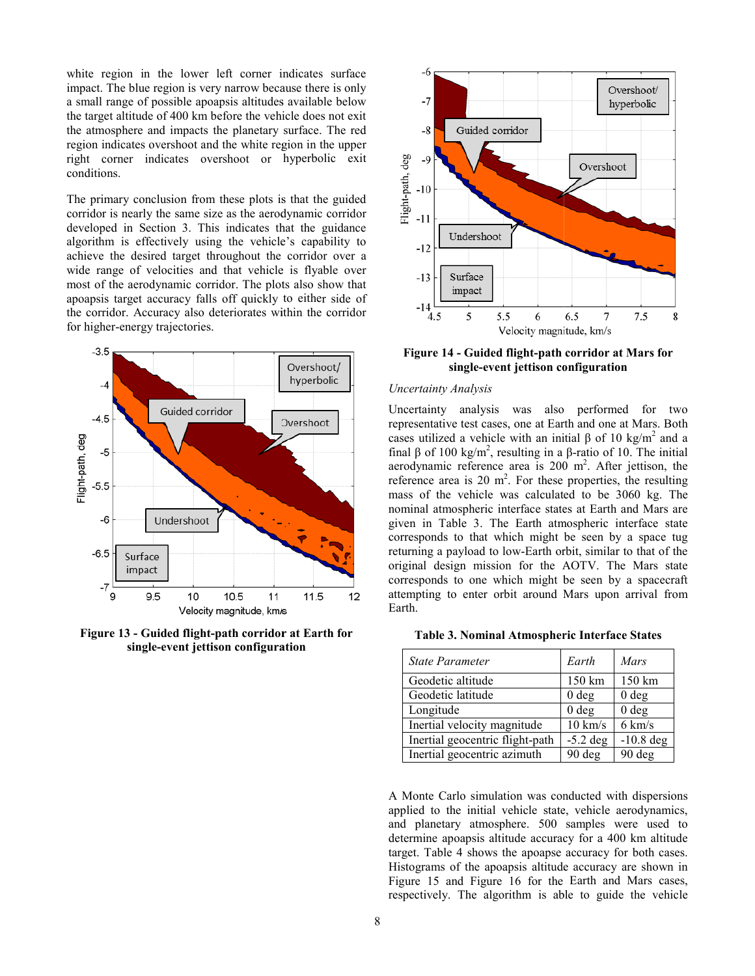white region in the lower left corner indicates surface impact. The blue region is very narrow because there is only a small range of possible apoapsis altitudes s available below the target altitude of 400 km before the veh icle does not exit the atmosphere and impacts the planetary surface. The red region indicates overshoot and the white reg gion in the upper right corner indicates overshoot or hyperbolic exit conditions.

The primary conclusion from these plots is that the guided corridor is nearly the same size as the aerodynamic corridor developed in Section 3. This indicates th hat the guidance algorithm is effectively using the vehicle's capability to achieve the desired target throughout the corridor over a wide range of velocities and that vehicle is flyable over most of the aerodynamic corridor. The plots also show that apoapsis target accuracy falls off quickly to either side of the corridor. Accuracy also deteriorates within the corridor for higher-energy trajectories.



Figure 13 - Guided flight-path corridor at Earth for single-event jettison configuration



## **Figure 14 - Guided flight-path corridor at Mars for single-event jettison co onfiguration**

#### *Uncertainty Analysis*

Uncertainty analysis was also performed for two representative test cases, one at Earth and one at Mars. Both cases utilized a vehicle with an initial  $\beta$  of 10 kg/m<sup>2</sup> and a final β of 100 kg/m<sup>2</sup>, resulting in a β-ratio of 10. The initial aerodynamic reference area is  $200 \text{ m}^2$ . After jettison, the reference area is 20  $m^2$ . For these properties, the resulting mass of the vehicle was calculat ed to be 3060 kg. The nominal atmospheric interface states at Earth and Mars are given in Table 3. The Earth atm mospheric interface state corresponds to that which might be seen by a space tug returning a payload to low-Earth orbit, similar to that of the original design mission for the A AOTV. The Mars state corresponds to one which might b be seen by a spacecraft attempting to enter orbit around M Mars upon arrival from Earth.

#### Table 3. Nominal Atmospheric Interface States

| State Parameter                 | Earth             | Mars             |
|---------------------------------|-------------------|------------------|
| Geodetic altitude               | 150 km            | 150 km           |
| Geodetic latitude               | 0 <sub>deg</sub>  | 0 <sub>deg</sub> |
| Longitude                       | 0 <sub>deg</sub>  | 0 <sub>deg</sub> |
| Inertial velocity magnitude     | $10 \text{ km/s}$ | $6 \text{ km/s}$ |
| Inertial geocentric flight-path | $-5.2$ deg        | $-10.8$ deg      |
| Inertial geocentric azimuth     | $90$ deg          | 90 deg           |

A Monte Carlo simulation was conducted with dispersions applied to the initial vehicle state, vehicle aerodynamics, and planetary atmosphere. 500 samples were used to determine apoapsis altitude accuracy for a 400 km altitude target. Table 4 shows the apoapse accuracy for both cases. Histograms of the apoapsis altitude e accuracy are shown in Figure 15 and Figure 16 for the Earth and Mars cases, respectively. The algorithm is able to guide the vehicle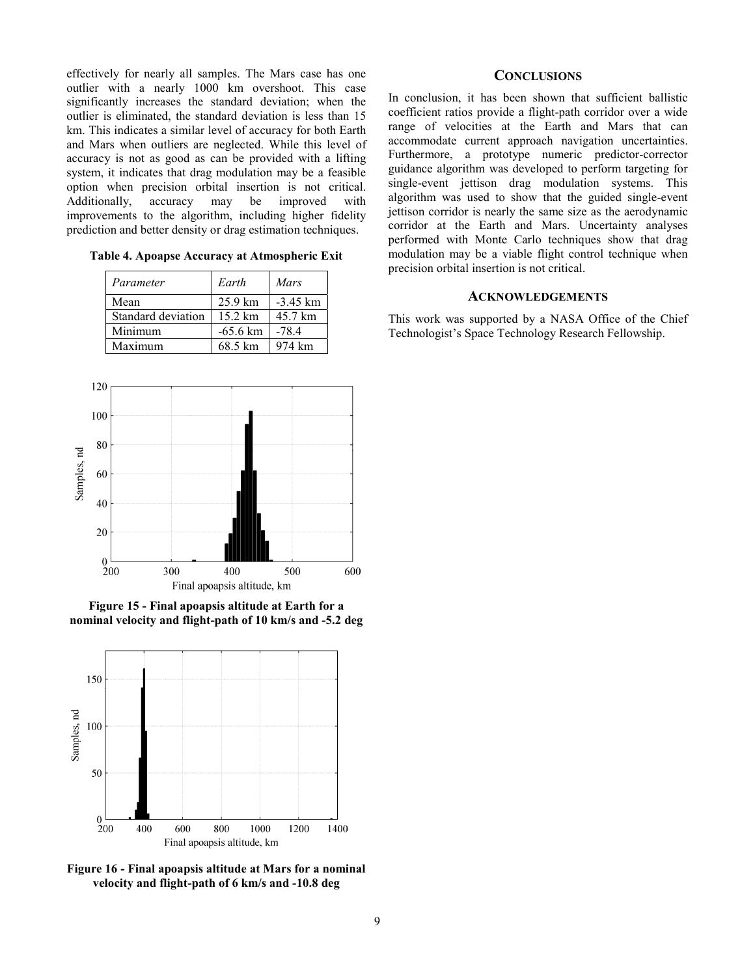effectively for nearly all samples. The Mars case has one outlier with a nearly 1000 km overshoot. This case significantly increases the standard deviation; when the outlier is eliminated, the standard deviation is less than 15 km. This indicates a similar level of accuracy for both Earth and Mars when outliers are neglected. While this level of accuracy is not as good as can be provided with a lifting system, it indicates that drag modulation may be a feasible option when precision orbital insertion is not critical. Additionally, accuracy may be improved with improvements to the algorithm, including higher fidelity prediction and better density or drag estimation techniques.

**Table 4. Apoapse Accuracy at Atmospheric Exit** 

| Parameter          | Earth              | Mars       |
|--------------------|--------------------|------------|
| Mean               | $25.9 \text{ km}$  | $-3.45$ km |
| Standard deviation | $15.2 \text{ km}$  | 45.7 km    |
| Minimum            | $-65.6 \text{ km}$ | $-78.4$    |
| Maximum            | 68.5 km            | 974 km     |



**Figure 15 - Final apoapsis altitude at Earth for a nominal velocity and flight-path of 10 km/s and -5.2 deg** 



**Figure 16 - Final apoapsis altitude at Mars for a nominal velocity and flight-path of 6 km/s and -10.8 deg** 

# **CONCLUSIONS**

In conclusion, it has been shown that sufficient ballistic coefficient ratios provide a flight-path corridor over a wide range of velocities at the Earth and Mars that can accommodate current approach navigation uncertainties. Furthermore, a prototype numeric predictor-corrector guidance algorithm was developed to perform targeting for single-event jettison drag modulation systems. This algorithm was used to show that the guided single-event jettison corridor is nearly the same size as the aerodynamic corridor at the Earth and Mars. Uncertainty analyses performed with Monte Carlo techniques show that drag modulation may be a viable flight control technique when precision orbital insertion is not critical.

## **ACKNOWLEDGEMENTS**

This work was supported by a NASA Office of the Chief Technologist's Space Technology Research Fellowship.